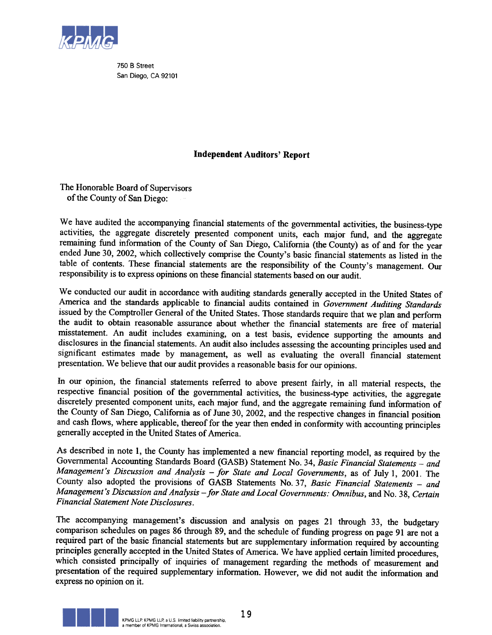

750 B Street San Diego, CA 92101

## Independent Auditors' Report

The Honorable Board of Supervisors of the County of San Diego:

We have audited the accompanying financial statements of the governmental activities, the business-type activities, the aggregate discretely presented component units, each major fund, and the aggregate remaining fund information of the County of San Diego, California (the County) as of and for the year ended June 30, 2002, which collectively comprise the County's basic financial statements as listed in the table of contents. These financial statements are the responsibility of the County's management. Our responsibility is to express opinions on these financial statements based on our audit.

We conducted our audit in accordance with auditing standards generally accepted in the United States of America and the standards applicable to financial audits contained in Government Auditing Standards issued by the Comptroller General of the United States. Those standards require that we plan and perform the audit to obtain reasonable assurance about whether the financial statements are free of material misstatement. An audit includes examining, on a test basis, evidence supporting the amounts and disclosures in the financial statements. An audit also includes assessing the accounting principles used and significant estimates made by management, as well as evaluating the overall financial statement presentation. We believe that our audit provides a reasonable basis for our opinions.

In our opinion, the financial statements referred to above present fairly, in all material respects, the respective financial position of the governmental activities, the business-type activities, the aggregate discretely presented component units, each major fund, and the aggregate remaining fund information of the County of San Diego, California as of June 30, 2002, and the respective changes in financial position and cash flows, where applicable, thereof for the year then ended in conformity with accounting principles generally accepted in the United States of America.

As described in note 1, the County has implemented a new financial reporting model, as required by the Governmental Accounting Standards Board (GASB) Statement No. 34, Basic Financial Statements - and Management's Discussion and Analysis - for State and Local Governments, as of July 1, 2001. The County also adopted the provisions of GASB Statements No. 37, Basic Financial Statements - and Management's Discussion and Analysis - for State and Local Governments: Omnibus, and No. 38, Certain Financial Statement Note Disclosures .

The accompanying management's discussion and analysis on pages 21 through 33, the budgetary comparison schedules on pages 86 through 89, and the schedule of funding progress on page 91 are not a required part of the basic financial statements but are supplementary information required by accounting principles generally accepted in the United States of America. We have applied certain limited procedures, which consisted principally of inquiries of management regarding the methods of measurement and presentation of the required supplementary information. However, we did not audit the information and express no opinion on it.